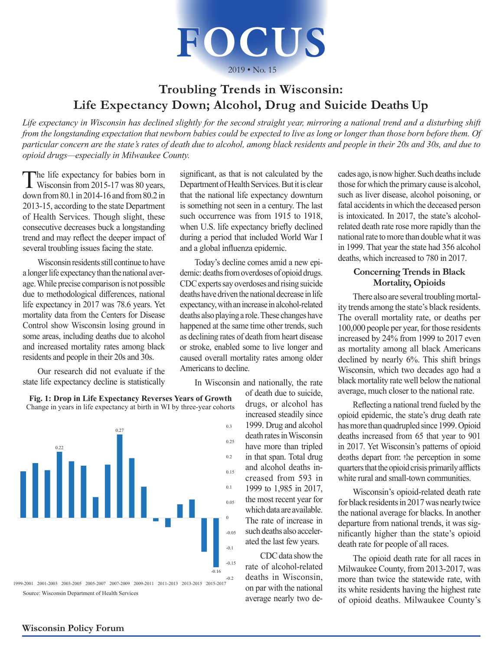

 $2019 \cdot$  No. 15

## **Troubling Trends in Wisconsin: Life Expectancy Down; Alcohol, Drug and Suicide Deaths Up**

*Life expectancy in Wisconsin has declined slightly for the second straight year, mirroring a national trend and a disturbing shift from the longstanding expectation that newborn babies could be expected to live as long or longer than those born before them. Of particular concern are the state's rates of death due to alcohol, among black residents and people in their 20s and 30s, and due to opioid drugs—especially in Milwaukee County.*

The life expectancy for babies born in<br>Wisconsin from 2015-17 was 80 years, down from 80.1 in 2014-16 and from 80.2 in 2013-15, according to the state Department of Health Services. Though slight, these consecutive decreases buck a longstanding trend and may reflect the deeper impact of several troubling issues facing the state.

Wisconsin residents still continue to have a longer life expectancy than the national average. While precise comparison is not possible due to methodological differences, national life expectancy in 2017 was 78.6 years. Yet mortality data from the Centers for Disease Control show Wisconsin losing ground in some areas, including deaths due to alcohol and increased mortality rates among black residents and people in their 20s and 30s.

Our research did not evaluate if the state life expectancy decline is statistically



**Fig. 1: Drop in Life Expectancy Reverses Years of Growth** Change in years in life expectancy at birth in WI by three-year cohorts

significant, as that is not calculated by the Department of Health Services. But it is clear that the national life expectancy downturn is something not seen in a century. The last such occurrence was from 1915 to 1918, when U.S. life expectancy briefly declined during a period that included World War I and a global influenza epidemic.

Today's decline comes amid a new epidemic: deaths from overdoses of opioid drugs. CDC experts say overdoses and rising suicide deaths have driven the national decrease in life expectancy, with an increase in alcohol-related deaths also playing a role. These changes have happened at the same time other trends, such as declining rates of death from heart disease or stroke, enabled some to live longer and caused overall mortality rates among older Americans to decline.

In Wisconsin and nationally, the rate

of death due to suicide, drugs, or alcohol has increased steadily since 1999. Drug and alcohol death rates in Wisconsin have more than tripled in that span. Total drug and alcohol deaths increased from 593 in 1999 to 1,985 in 2017, the most recent year for which data are available. The rate of increase in such deaths also accelerated the last few years.

CDC data show the rate of alcohol-related deaths in Wisconsin, on par with the national average nearly two decades ago, is now higher. Such deaths include those for which the primary cause is alcohol, such as liver disease, alcohol poisoning, or fatal accidents in which the deceased person is intoxicated. In 2017, the state's alcoholrelated death rate rose more rapidly than the national rate to more than double what it was in 1999. That year the state had 356 alcohol deaths, which increased to 780 in 2017.

## **Concerning Trends in Black Mortality, Opioids**

There also are several troubling mortality trends among the state's black residents. The overall mortality rate, or deaths per 100,000 people per year, for those residents increased by 24% from 1999 to 2017 even as mortality among all black Americans declined by nearly 6%. This shift brings Wisconsin, which two decades ago had a black mortality rate well below the national average, much closer to the national rate.

Reflecting a national trend fueled by the opioid epidemic, the state's drug death rate has more than quadrupled since 1999. Opioid deaths increased from 65 that year to 901 in 2017. Yet Wisconsin's patterns of opioid deaths depart from the perception in some **969 967** quarters that the opioid crisis primarily afflicts white rural and small-town communities.

Wisconsin's opioid-related death rate for black residents in 2017 was nearly twice the national average for blacks. In another departure from national trends, it was significantly higher than the state's opioid death rate for people of all races.

The opioid death rate for all races in Milwaukee County, from 2013-2017, was more than twice the statewide rate, with its white residents having the highest rate of opioid deaths. Milwaukee County's